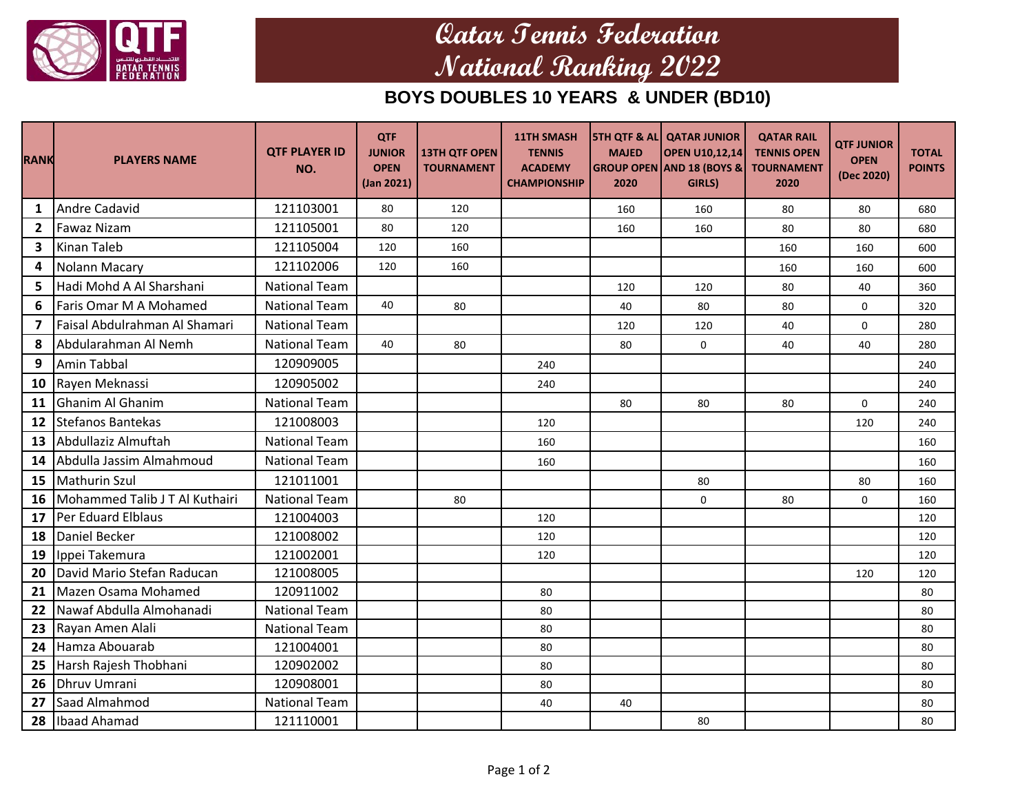

## **Qatar Tennis Federation National Ranking 2022**

## **BOYS DOUBLES 10 YEARS & UNDER (BD10)**

| <b>RANK</b>             | <b>PLAYERS NAME</b>            | <b>OTF PLAYER ID</b><br>NO. | <b>QTF</b><br><b>JUNIOR</b><br><b>OPEN</b><br>(Jan 2021) | <b>13TH QTF OPEN</b><br><b>TOURNAMENT</b> | 11TH SMASH<br><b>TENNIS</b><br><b>ACADEMY</b><br><b>CHAMPIONSHIP</b> | <b>MAJED</b><br>2020 | <b>STH QTF &amp; AL QATAR JUNIOR</b><br><b>OPEN U10,12,14</b><br><b>GROUP OPEN AND 18 (BOYS &amp;</b><br>GIRLS) | <b>QATAR RAIL</b><br><b>TENNIS OPEN</b><br><b>TOURNAMENT</b><br>2020 | <b>QTF JUNIOR</b><br><b>OPEN</b><br>(Dec 2020) | <b>TOTAL</b><br><b>POINTS</b> |
|-------------------------|--------------------------------|-----------------------------|----------------------------------------------------------|-------------------------------------------|----------------------------------------------------------------------|----------------------|-----------------------------------------------------------------------------------------------------------------|----------------------------------------------------------------------|------------------------------------------------|-------------------------------|
| $\mathbf{1}$            | Andre Cadavid                  | 121103001                   | 80                                                       | 120                                       |                                                                      | 160                  | 160                                                                                                             | 80                                                                   | 80                                             | 680                           |
| $\mathbf{2}$            | <b>Fawaz Nizam</b>             | 121105001                   | 80                                                       | 120                                       |                                                                      | 160                  | 160                                                                                                             | 80                                                                   | 80                                             | 680                           |
| $\mathbf{3}$            | <b>Kinan Taleb</b>             | 121105004                   | 120                                                      | 160                                       |                                                                      |                      |                                                                                                                 | 160                                                                  | 160                                            | 600                           |
| $\overline{\mathbf{4}}$ | Nolann Macary                  | 121102006                   | 120                                                      | 160                                       |                                                                      |                      |                                                                                                                 | 160                                                                  | 160                                            | 600                           |
| 5.                      | Hadi Mohd A Al Sharshani       | <b>National Team</b>        |                                                          |                                           |                                                                      | 120                  | 120                                                                                                             | 80                                                                   | 40                                             | 360                           |
| 6                       | Faris Omar M A Mohamed         | <b>National Team</b>        | 40                                                       | 80                                        |                                                                      | 40                   | 80                                                                                                              | 80                                                                   | $\mathbf 0$                                    | 320                           |
| $\overline{7}$          | Faisal Abdulrahman Al Shamari  | <b>National Team</b>        |                                                          |                                           |                                                                      | 120                  | 120                                                                                                             | 40                                                                   | 0                                              | 280                           |
| 8                       | Abdularahman Al Nemh           | <b>National Team</b>        | 40                                                       | 80                                        |                                                                      | 80                   | 0                                                                                                               | 40                                                                   | 40                                             | 280                           |
| 9                       | Amin Tabbal                    | 120909005                   |                                                          |                                           | 240                                                                  |                      |                                                                                                                 |                                                                      |                                                | 240                           |
|                         | 10 Rayen Meknassi              | 120905002                   |                                                          |                                           | 240                                                                  |                      |                                                                                                                 |                                                                      |                                                | 240                           |
| 11                      | Ghanim Al Ghanim               | <b>National Team</b>        |                                                          |                                           |                                                                      | 80                   | 80                                                                                                              | 80                                                                   | 0                                              | 240                           |
| 12                      | Stefanos Bantekas              | 121008003                   |                                                          |                                           | 120                                                                  |                      |                                                                                                                 |                                                                      | 120                                            | 240                           |
| 13                      | Abdullaziz Almuftah            | <b>National Team</b>        |                                                          |                                           | 160                                                                  |                      |                                                                                                                 |                                                                      |                                                | 160                           |
| 14                      | Abdulla Jassim Almahmoud       | <b>National Team</b>        |                                                          |                                           | 160                                                                  |                      |                                                                                                                 |                                                                      |                                                | 160                           |
| 15                      | <b>Mathurin Szul</b>           | 121011001                   |                                                          |                                           |                                                                      |                      | 80                                                                                                              |                                                                      | 80                                             | 160                           |
| 16                      | Mohammed Talib J T Al Kuthairi | <b>National Team</b>        |                                                          | 80                                        |                                                                      |                      | 0                                                                                                               | 80                                                                   | 0                                              | 160                           |
| 17                      | Per Eduard Elblaus             | 121004003                   |                                                          |                                           | 120                                                                  |                      |                                                                                                                 |                                                                      |                                                | 120                           |
| 18                      | Daniel Becker                  | 121008002                   |                                                          |                                           | 120                                                                  |                      |                                                                                                                 |                                                                      |                                                | 120                           |
| 19                      | Ippei Takemura                 | 121002001                   |                                                          |                                           | 120                                                                  |                      |                                                                                                                 |                                                                      |                                                | 120                           |
| 20                      | David Mario Stefan Raducan     | 121008005                   |                                                          |                                           |                                                                      |                      |                                                                                                                 |                                                                      | 120                                            | 120                           |
| 21                      | Mazen Osama Mohamed            | 120911002                   |                                                          |                                           | 80                                                                   |                      |                                                                                                                 |                                                                      |                                                | 80                            |
| 22                      | Nawaf Abdulla Almohanadi       | <b>National Team</b>        |                                                          |                                           | 80                                                                   |                      |                                                                                                                 |                                                                      |                                                | 80                            |
| 23                      | Rayan Amen Alali               | <b>National Team</b>        |                                                          |                                           | 80                                                                   |                      |                                                                                                                 |                                                                      |                                                | 80                            |
| 24                      | Hamza Abouarab                 | 121004001                   |                                                          |                                           | 80                                                                   |                      |                                                                                                                 |                                                                      |                                                | 80                            |
| 25                      | Harsh Rajesh Thobhani          | 120902002                   |                                                          |                                           | 80                                                                   |                      |                                                                                                                 |                                                                      |                                                | 80                            |
| 26                      | Dhruv Umrani                   | 120908001                   |                                                          |                                           | 80                                                                   |                      |                                                                                                                 |                                                                      |                                                | 80                            |
| 27                      | Saad Almahmod                  | <b>National Team</b>        |                                                          |                                           | 40                                                                   | 40                   |                                                                                                                 |                                                                      |                                                | 80                            |
|                         | 28 Ibaad Ahamad                | 121110001                   |                                                          |                                           |                                                                      |                      | 80                                                                                                              |                                                                      |                                                | 80                            |